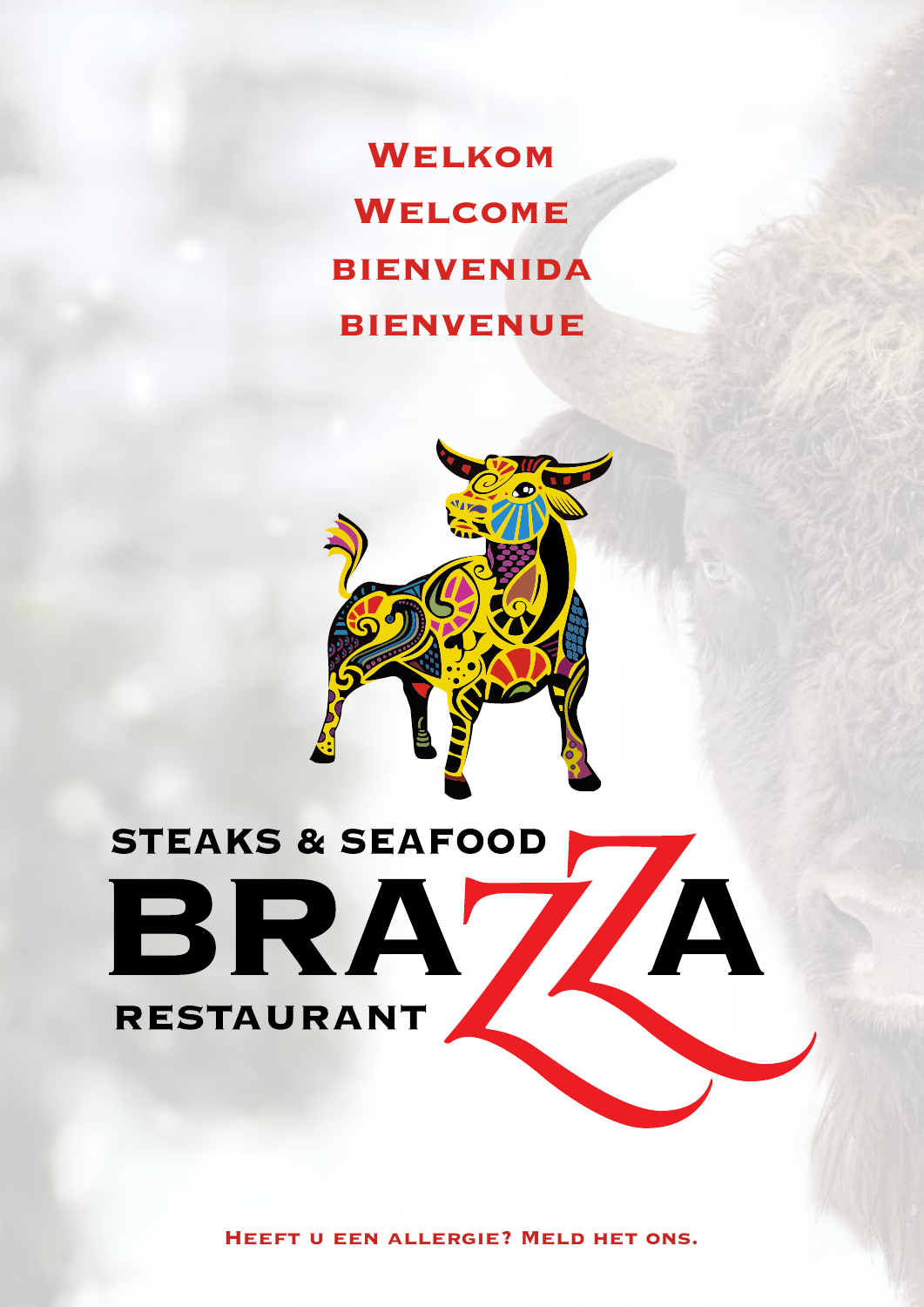**Welkom Welcome bienvenida bienvenue**



# **STEAKS & SEAFOOD** ZA BRA **RESTAURANT**

**Heeft u een allergie? Meld het ons.**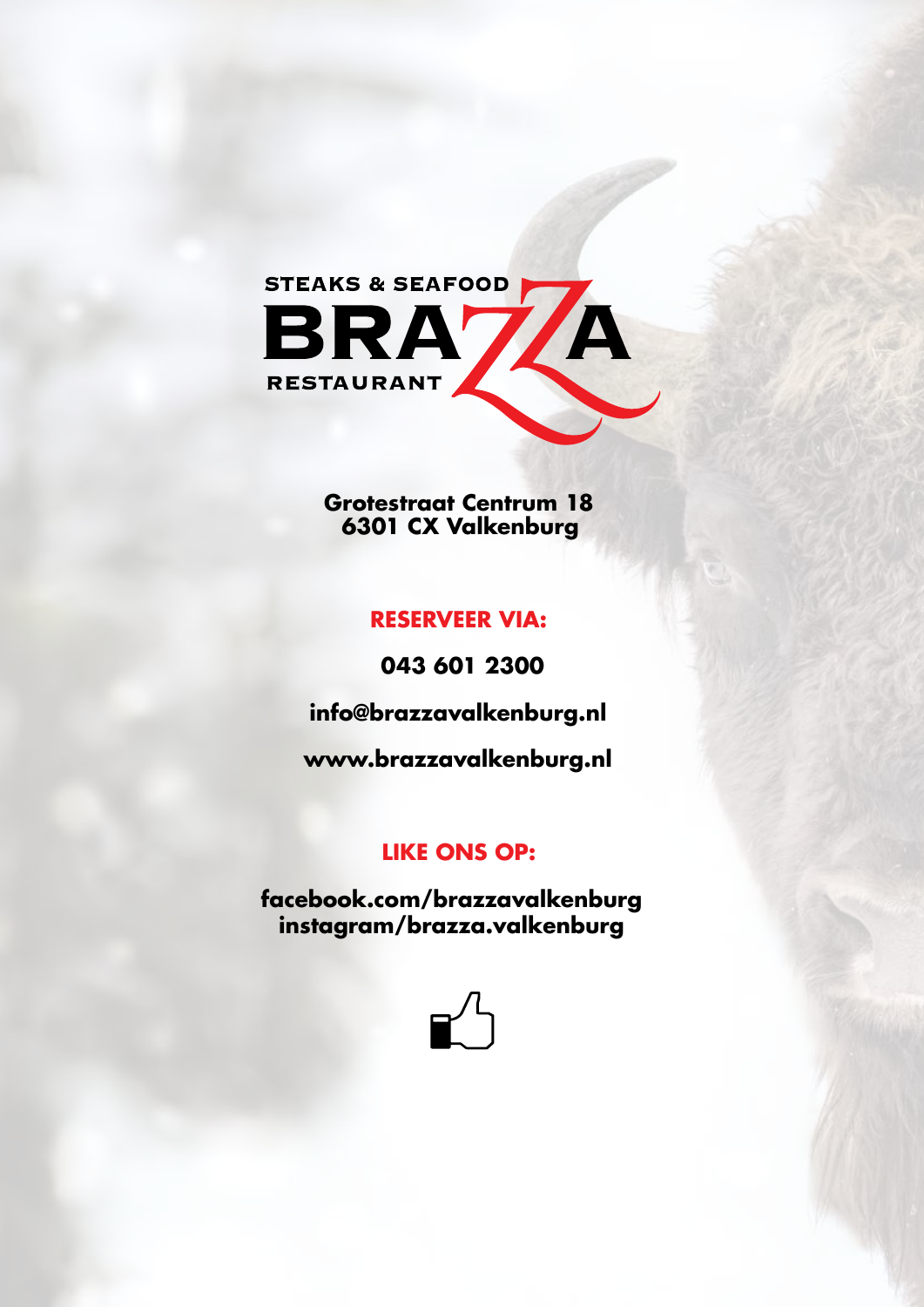

**Grotestraat Centrum 18 6301 CX Valkenburg**

# **RESERVEER VIA:**

**043 601 2300**

**info@brazzavalkenburg.nl**

**www.brazzavalkenburg.nl**

# **LIKE ONS OP:**

**facebook.com/brazzavalkenburg instagram/brazza.valkenburg**

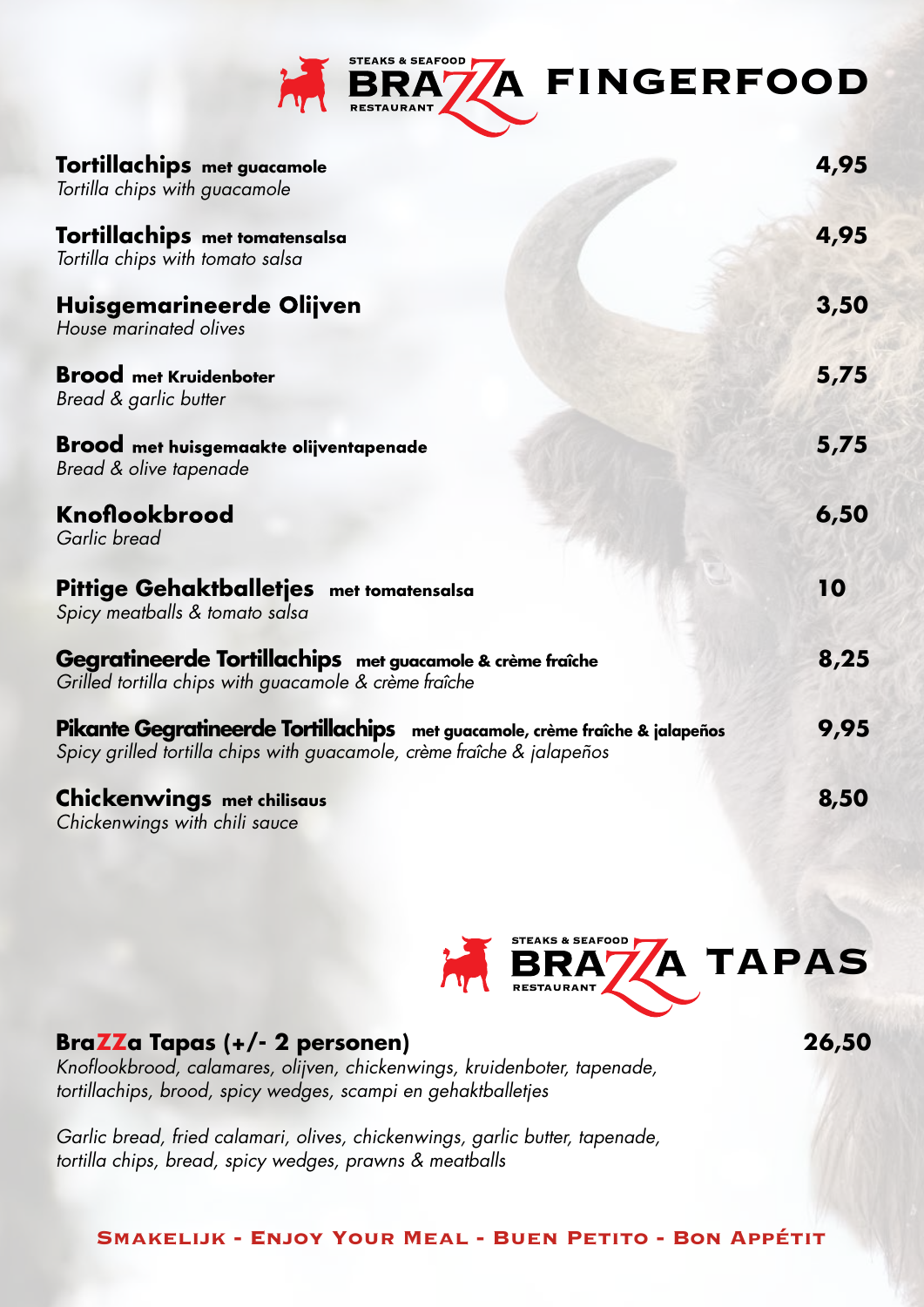

| Tortillachips met guacamole<br>Tortilla chips with guacamole                                                                                           | 4,95 |
|--------------------------------------------------------------------------------------------------------------------------------------------------------|------|
| Tortillachips met tomatensalsa<br>Tortilla chips with tomato salsa                                                                                     | 4,95 |
| Huisgemarineerde Olijven<br>House marinated olives                                                                                                     | 3,50 |
| <b>Brood</b> met Kruidenboter<br>Bread & garlic butter                                                                                                 | 5,75 |
| <b>Brood</b> met huisgemaakte olijventapenade<br>Bread & olive tapenade                                                                                | 5,75 |
| Knoflookbrood<br>Garlic bread                                                                                                                          | 6,50 |
| Pittige Gehaktballetjes met tomatensalsa<br>Spicy meatballs & tomato salsa                                                                             | 10   |
| Gegratineerde Tortillachips met guacamole & crème fraîche<br>Grilled tortilla chips with guacamole & crème fraîche                                     | 8,25 |
| Pikante Gegratineerde Tortillachips met guacamole, crème fraîche & jalapeños<br>Spicy grilled tortilla chips with guacamole, crème fraîche & jalapeños | 9,95 |
| <b>Chickenwings</b> met chilisaus<br>Chickenwings with chili sauce                                                                                     | 8,50 |



**26,50**

# **BraZZa Tapas (+/- 2 personen)**

*Knoflookbrood, calamares, olijven, chickenwings, kruidenboter, tapenade, tortillachips, brood, spicy wedges, scampi en gehaktballetjes*

*Garlic bread, fried calamari, olives, chickenwings, garlic butter, tapenade, tortilla chips, bread, spicy wedges, prawns & meatballs*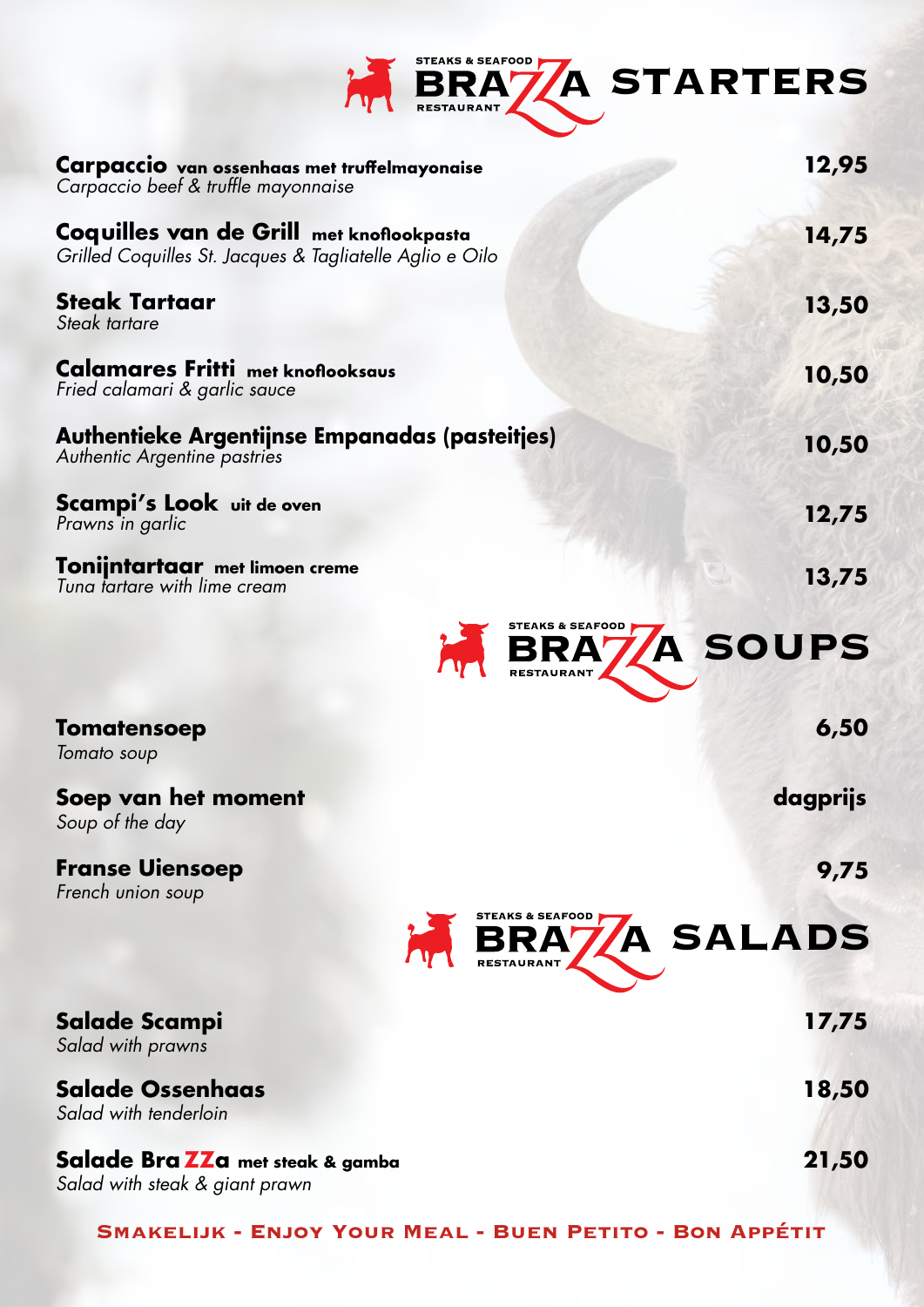

| Carpaccio van ossenhaas met truffelmayonaise<br>Carpaccio beef & truffle mayonnaise                  | 12,95           |
|------------------------------------------------------------------------------------------------------|-----------------|
| Coquilles van de Grill met knoflookpasta<br>Grilled Coquilles St. Jacques & Tagliatelle Aglio e Oilo | 14,75           |
| <b>Steak Tartaar</b><br>Steak tartare                                                                | 13,50           |
| <b>Calamares Fritti</b> met knoflooksaus<br>Fried calamari & garlic sauce                            | 10,50           |
| Authentieke Argentijnse Empanadas (pasteitjes)<br>Authentic Argentine pastries                       | 10,50           |
| Scampi's Look uit de oven<br>Prawns in garlic                                                        | 12,75           |
| Tonijntartaar met limoen creme<br>Tuna tartare with lime cream                                       | 13,75           |
| STEAKS & SEAFOOD                                                                                     | RA7A SOUPS      |
| <b>Tomatensoep</b><br>Tomato soup                                                                    | 6,50            |
| Soep van het moment<br>Soup of the day                                                               | dagprijs        |
| <b>Franse Uiensoep</b><br>French union soup                                                          | 9,75            |
| STEAKS & SEAFOOD                                                                                     | <b>A SALADS</b> |
| Salade Scampi<br>Salad with prawns                                                                   | 17,75           |
| <b>Salade Ossenhaas</b><br>Salad with tenderloin                                                     | 18,50           |
| Salade Bra ZZa met steak & gamba<br>Salad with steak & giant prawn                                   | 21,50           |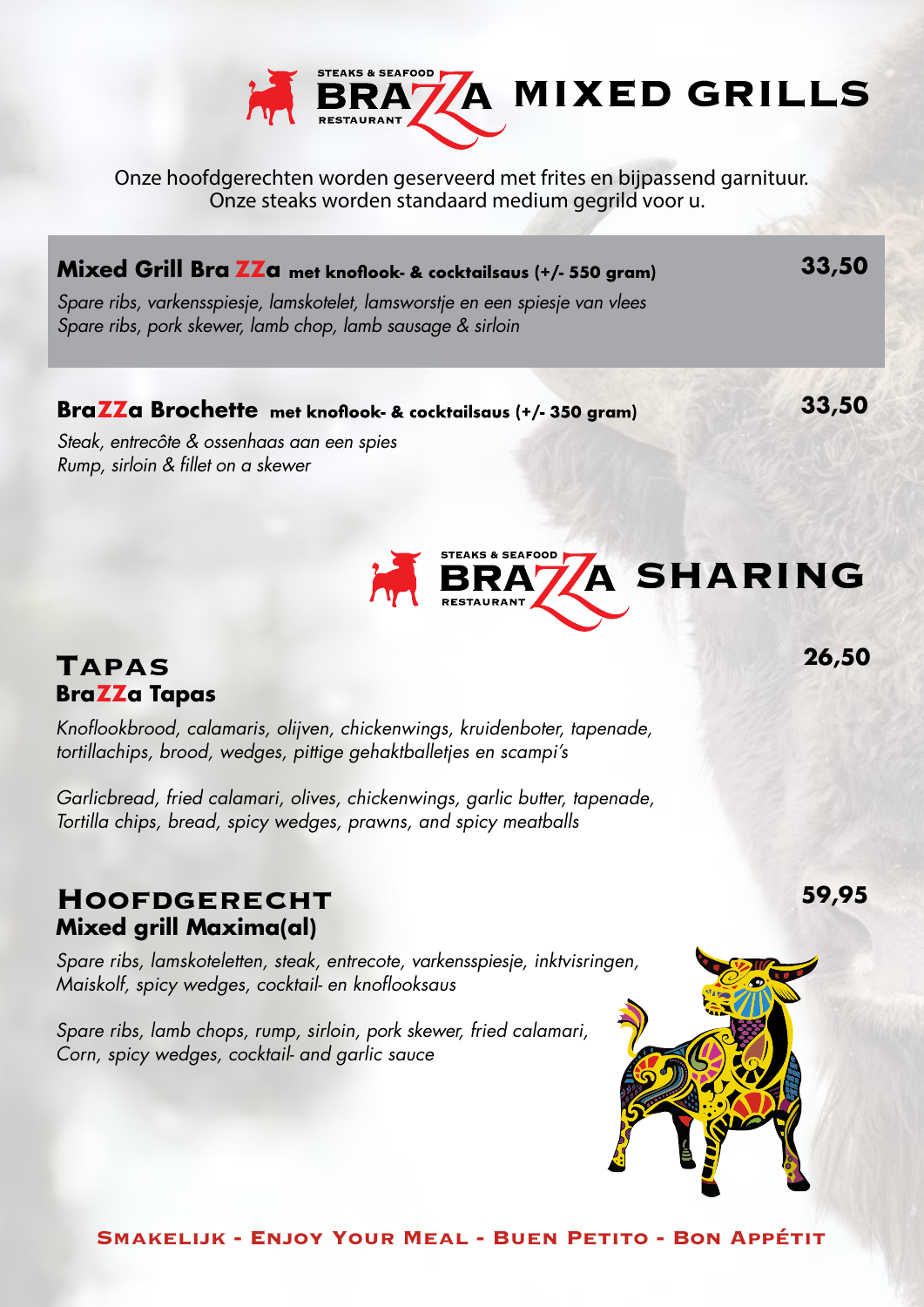

Onze hoofdgerechten worden geserveerd met frites en bijpassend garnituur. Onze steaks worden standaard medium gegrild voor u.

# **Mixed Grill Bra ZZa** met knoflook- & cocktailsaus (+/- 550 gram)

*Spare ribs, varkensspiesje, lamskotelet, lamsworstje en een spiesje van vlees Spare ribs, pork skewer, lamb chop, lamb sausage & sirloin*

### BraZZa Brochette met knoflook- & cocktailsaus (+/- 350 gram)

**33,50**

**33,50**

*Steak, entrecôte & ossenhaas aan een spies Rump, sirloin & fillet on a skewer*



# **Tapas BraZZa Tapas**

*Knoflookbrood, calamaris, olijven, chickenwings, kruidenboter, tapenade, tortillachips, brood, wedges, pittige gehaktballetjes en scampi's*

*Garlicbread, fried calamari, olives, chickenwings, garlic butter, tapenade, Tortilla chips, bread, spicy wedges, prawns, and spicy meatballs*

# **Hoofdgerecht Mixed grill Maxima(al)**

*Spare ribs, lamskoteletten, steak, entrecote, varkensspiesje, inktvisringen, Maiskolf, spicy wedges, cocktail- en knoflooksaus*

*Spare ribs, lamb chops, rump, sirloin, pork skewer, fried calamari, Corn, spicy wedges, cocktail- and garlic sauce*



**Smakelijk - Enjoy Your Meal - Buen Petito - Bon Appétit**

**26,50**

**59,95**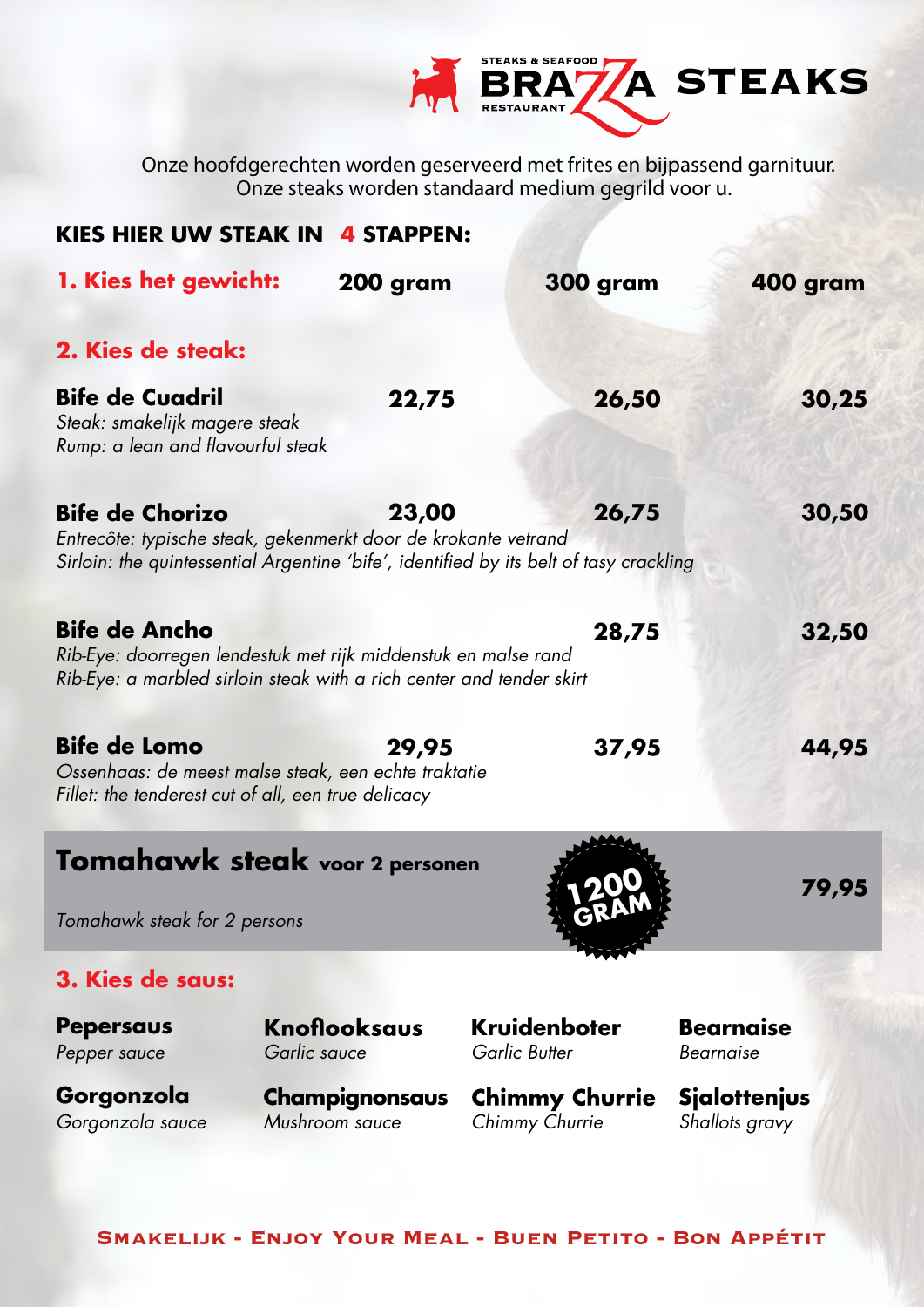

Onze hoofdgerechten worden geserveerd met frites en bijpassend garnituur. Onze steaks worden standaard medium gegrild voor u.

| <b>KIES HIER UW STEAK IN 4 STAPPEN:</b>                                                                                                                        |                                         |                                                                                                 |                                       |
|----------------------------------------------------------------------------------------------------------------------------------------------------------------|-----------------------------------------|-------------------------------------------------------------------------------------------------|---------------------------------------|
| 1. Kies het gewicht:                                                                                                                                           | 200 gram                                | <b>300 gram</b>                                                                                 | 400 gram                              |
| 2. Kies de steak:                                                                                                                                              |                                         |                                                                                                 |                                       |
| <b>Bife de Cuadril</b><br>Steak: smakelijk magere steak<br>Rump: a lean and flavourful steak                                                                   | 22,75                                   | 26,50                                                                                           | 30,25                                 |
| <b>Bife de Chorizo</b><br>Entrecôte: typische steak, gekenmerkt door de krokante vetrand                                                                       | 23,00                                   | 26,75<br>Sirloin: the quintessential Argentine 'bife', identified by its belt of tasy crackling | 30,50                                 |
| <b>Bife de Ancho</b><br>Rib-Eye: doorregen lendestuk met rijk middenstuk en malse rand<br>Rib-Eye: a marbled sirloin steak with a rich center and tender skirt |                                         | 28,75                                                                                           | 32,50                                 |
| <b>Bife de Lomo</b><br>Ossenhaas: de meest malse steak, een echte traktatie<br>Fillet: the tenderest cut of all, een true delicacy                             | 29,95                                   | 37,95                                                                                           | 44,95                                 |
| <b>Tomahawk steak voor 2 personen</b>                                                                                                                          |                                         |                                                                                                 | 79,95                                 |
| Tomahawk steak for 2 persons                                                                                                                                   |                                         |                                                                                                 |                                       |
| 3. Kies de saus:                                                                                                                                               |                                         |                                                                                                 |                                       |
| <b>Pepersaus</b><br>Pepper sauce                                                                                                                               | <b>Knoflooksaus</b><br>Garlic sauce     | <b>Kruidenboter</b><br><b>Garlic Butter</b>                                                     | <b>Bearnaise</b><br>Bearnaise         |
| Gorgonzola<br>Gorgonzola sauce                                                                                                                                 | <b>Champignonsaus</b><br>Mushroom sauce | <b>Chimmy Churrie</b><br>Chimmy Churrie                                                         | <b>Sialottenjus</b><br>Shallots gravy |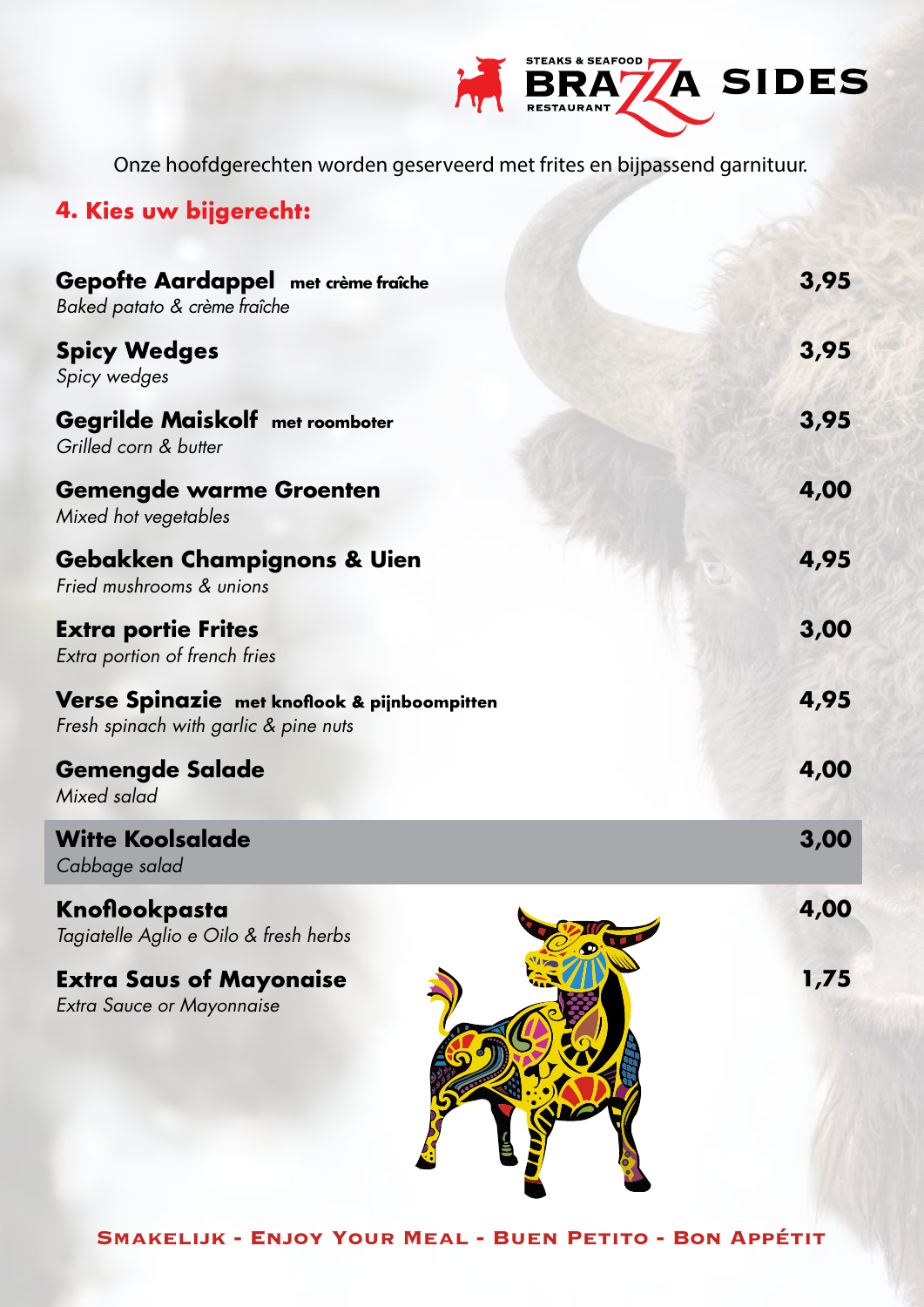

Onze hoofdgerechten worden geserveerd met frites en bijpassend garnituur.

# **4. Kies uw bijgerecht:**

| Gepofte Aardappel met crème fraîche<br>Baked patato & crème fraîche                                                                                                                         | 3,95 |
|---------------------------------------------------------------------------------------------------------------------------------------------------------------------------------------------|------|
| <b>Spicy Wedges</b><br>Spicy wedges                                                                                                                                                         | 3,95 |
| <b>Gegrilde Maiskolf met roomboter</b><br>Grilled corn & butter                                                                                                                             | 3,95 |
| <b>Gemengde warme Groenten</b><br>Mixed hot vegetables<br><b>Gebakken Champignons &amp; Uien</b><br>Fried mushrooms & unions<br><b>Extra portie Frites</b><br>Extra portion of french fries | 4,00 |
|                                                                                                                                                                                             | 4,95 |
|                                                                                                                                                                                             | 3,00 |
| Verse Spinazie met knoflook & pijnboompitten<br>Fresh spinach with garlic & pine nuts                                                                                                       | 4,95 |
| <b>Gemengde Salade</b><br>Mixed salad                                                                                                                                                       | 4,00 |
| <b>Witte Koolsalade</b><br>Cabbage salad                                                                                                                                                    | 3,00 |
| Knoflookpasta<br>$\mathbf{r}$                                                                                                                                                               | 4,00 |

Knoflookpasta *Tagiatelle Aglio e Oilo & fresh herbs*

**Extra Saus of Mayonaise** *Extra Sauce or Mayonnaise*



**1,75**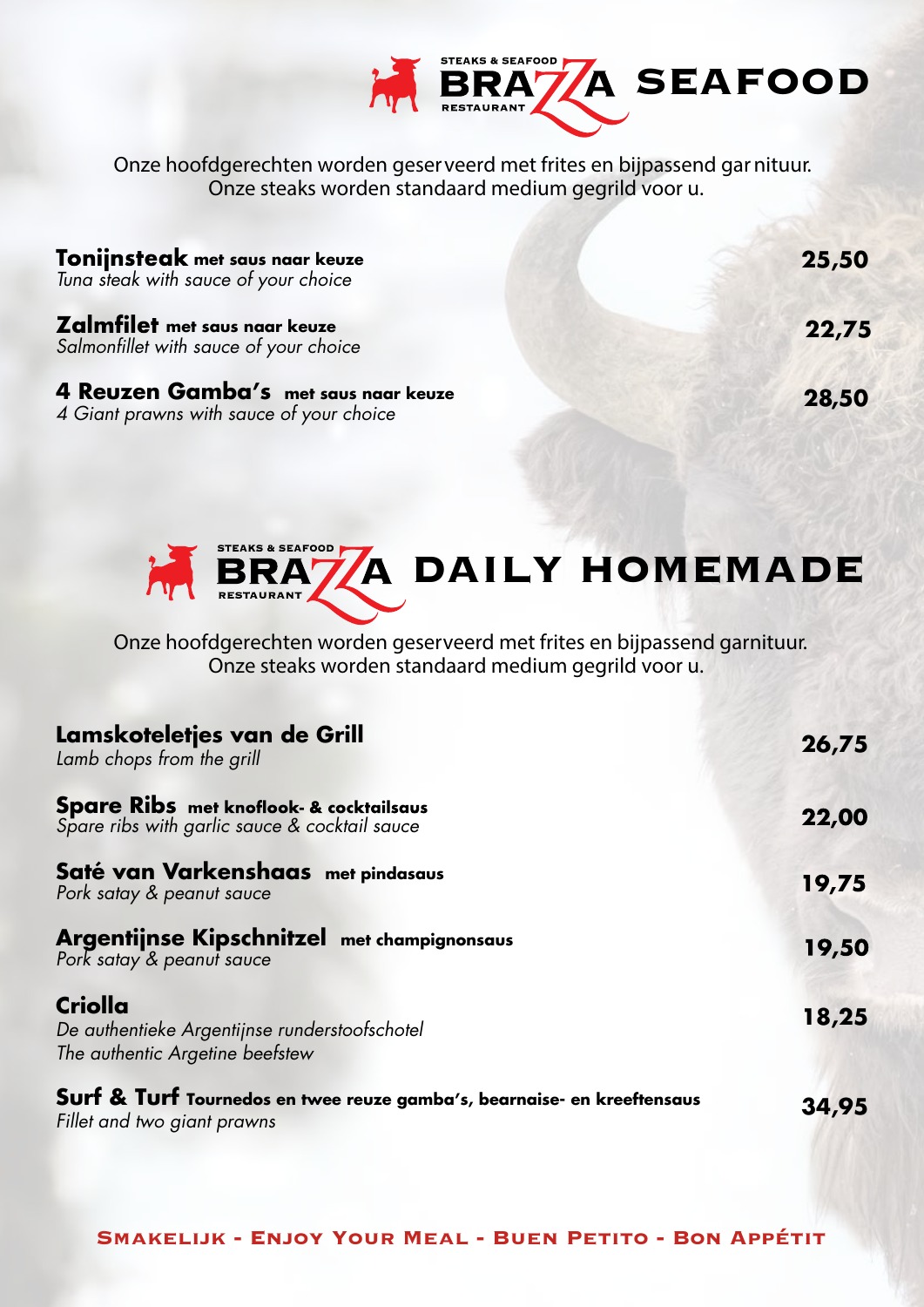

Onze hoofdgerechten worden geserveerd met frites en bijpassend garnituur. Onze steaks worden standaard medium gegrild voor u.

| <b>Tonijnsteak</b> met saus naar keuze<br>Tuna steak with sauce of your choice   | 25,50 |
|----------------------------------------------------------------------------------|-------|
| <b>Zalmfilet</b> met saus naar keuze<br>Salmonfillet with sauce of your choice   | 22,75 |
| 4 Reuzen Gamba's met saus naar keuze<br>4 Giant prawns with sauce of your choice | 28,50 |



Onze hoofdgerechten worden geserveerd met frites en bijpassend garnituur. Onze steaks worden standaard medium gegrild voor u.

| Lamskoteletjes van de Grill<br>Lamb chops from the grill                                               | 26,75 |
|--------------------------------------------------------------------------------------------------------|-------|
| Spare Ribs met knoflook- & cocktailsaus<br>Spare ribs with garlic sauce & cocktail sauce               | 22,00 |
| Saté van Varkenshaas met pindasaus<br>Pork satay & peanut sauce                                        | 19,75 |
| Argentijnse Kipschnitzel met champignonsaus<br>Pork satay & peanut sauce                               | 19,50 |
| Criolla<br>De authentieke Argentijnse runderstoofschotel<br>The authentic Argetine beefstew            | 18,25 |
| Surf & Turf Tournedos en twee reuze gamba's, bearnaise- en kreeftensaus<br>Fillet and two giant prawns | 34,95 |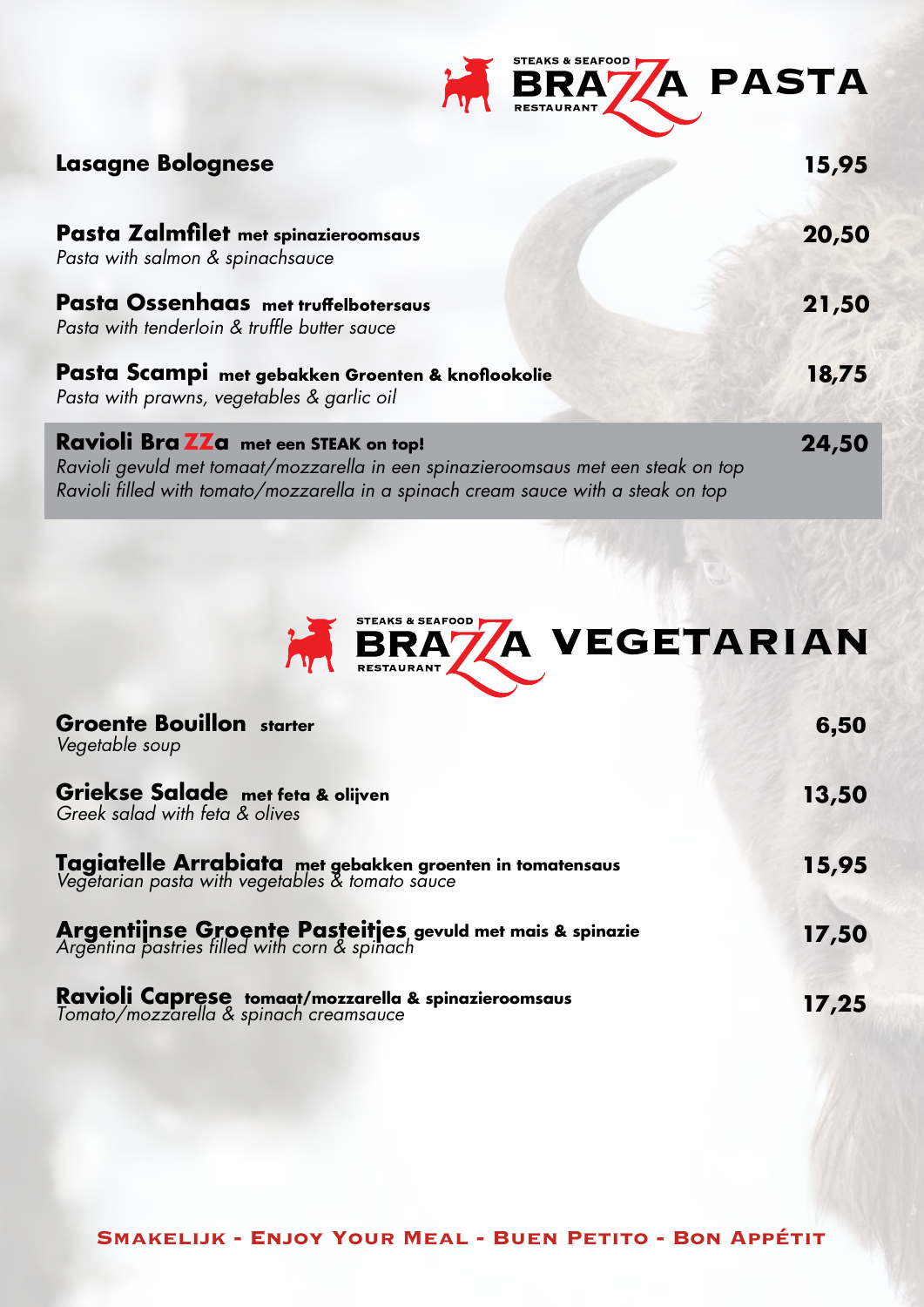| <b>STEAKS &amp; SEAFOOD</b><br>BRA7/A PASTA<br><b>RESTAURANT</b> |
|------------------------------------------------------------------|
|------------------------------------------------------------------|

| <b>Lasagne Bolognese</b>                                                                                                                                                                                         |       |
|------------------------------------------------------------------------------------------------------------------------------------------------------------------------------------------------------------------|-------|
| Pasta Zalmfilet met spinazieroomsaus<br>Pasta with salmon & spinachsauce                                                                                                                                         | 20,50 |
| <b>Pasta Ossenhaas</b> met truffelbotersaus<br>Pasta with tenderloin & truffle butter sauce                                                                                                                      | 21,50 |
| Pasta Scampi met gebakken Groenten & knoflookolie<br>Pasta with prawns, vegetables & garlic oil                                                                                                                  | 18,75 |
| Ravioli Bra ZZa met een STEAK on top!<br>Ravioli gevuld met tomaat/mozzarella in een spinazieroomsaus met een steak on top<br>Ravioli filled with tomato/mozzarella in a spinach cream sauce with a steak on top | 24,50 |



| <b>Groente Bouillon starter</b><br>Vegetable soup                                                            | 6,50  |
|--------------------------------------------------------------------------------------------------------------|-------|
| <b>Griekse Salade</b> met feta & olijven<br>Greek salad with feta & olives                                   | 13,50 |
| Tagiatelle Arrabiata met gebakken groenten in tomatensaus<br>Vegetarian pasta with vegetables & tomato sauce | 15,95 |
| Argentijnse Groente Pasteitjes gevuld met mais & spinazie<br>Argentina pastries filled with corn & spinach   | 17,50 |
| Ravioli Caprese tomaat/mozzarella & spinazieroomsaus<br>Tomato/mozzarella & spinach creamsauce               | 17,25 |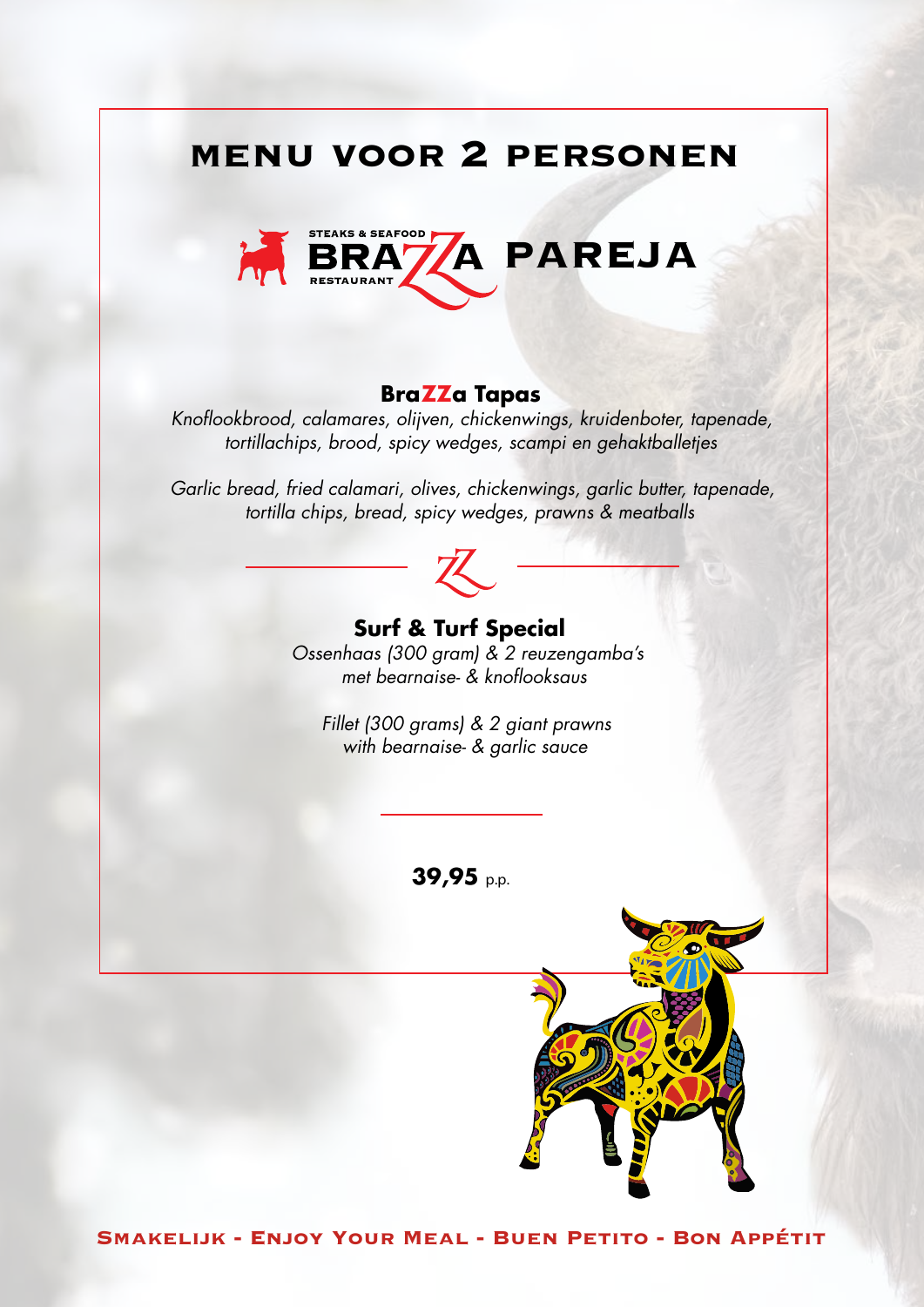# **menu voor 2 personen**



### **BraZZa Tapas**

*Knoflookbrood, calamares, olijven, chickenwings, kruidenboter, tapenade, tortillachips, brood, spicy wedges, scampi en gehaktballetjes*

*Garlic bread, fried calamari, olives, chickenwings, garlic butter, tapenade, tortilla chips, bread, spicy wedges, prawns & meatballs*



# **Surf & Turf Special**

*Ossenhaas (300 gram) & 2 reuzengamba's met bearnaise- & knoflooksaus*

*Fillet (300 grams) & 2 giant prawns with bearnaise- & garlic sauce*

**39,95** p.p.

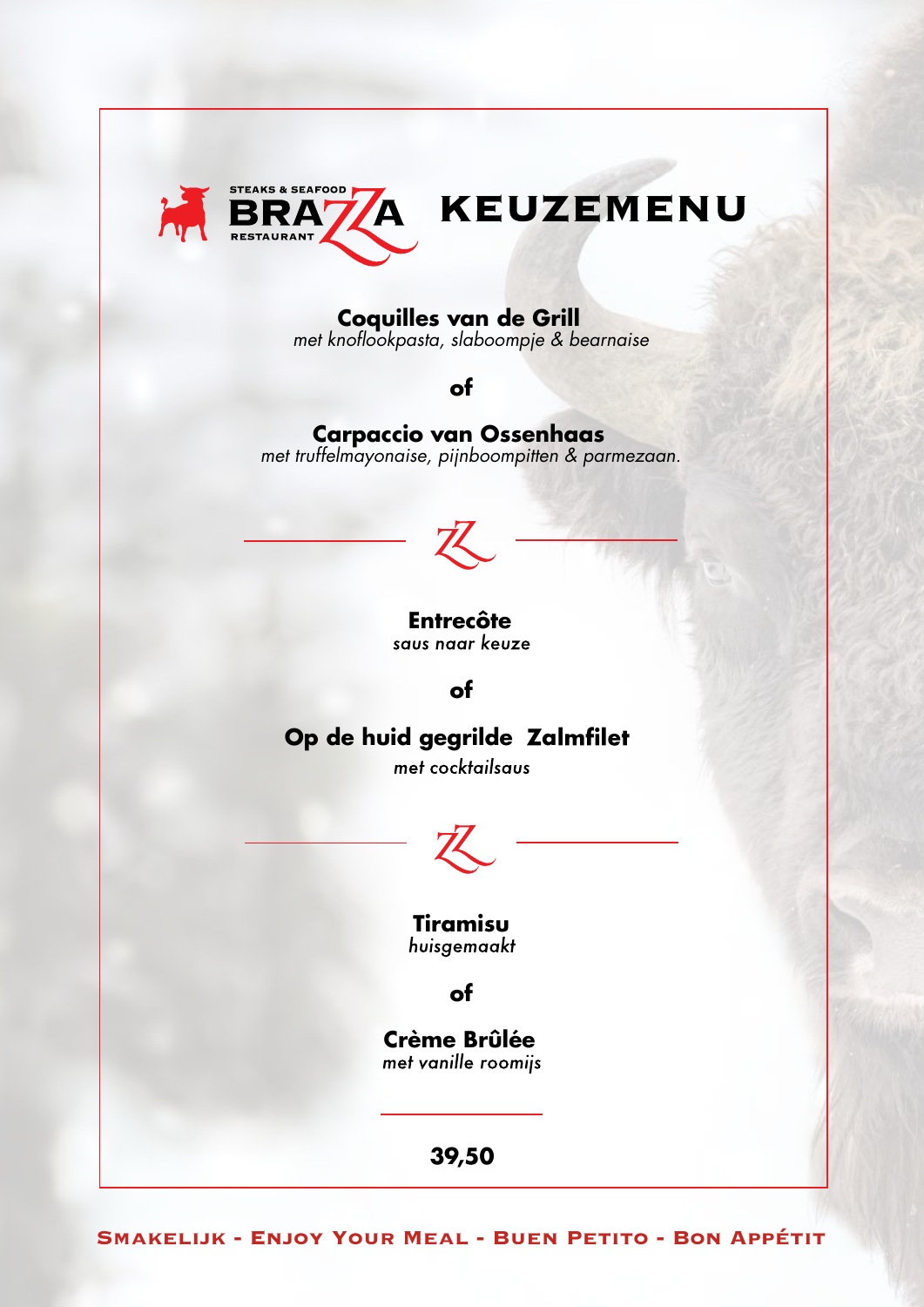

# **Coquilles van de Grill**

*met knoflookpasta, slaboompje & bearnaise*

**of**

### **Carpaccio van Ossenhaas** *met truffelmayonaise, pijnboompitten & parmezaan.*



# **Entrecôte**<br>saus naar keuze

**of**

# **Op de huid gegrilde Zalmfilet**

met cocktailsaus



**Tiramisu**

# **of**

**Crème Brûlée**

**39,50**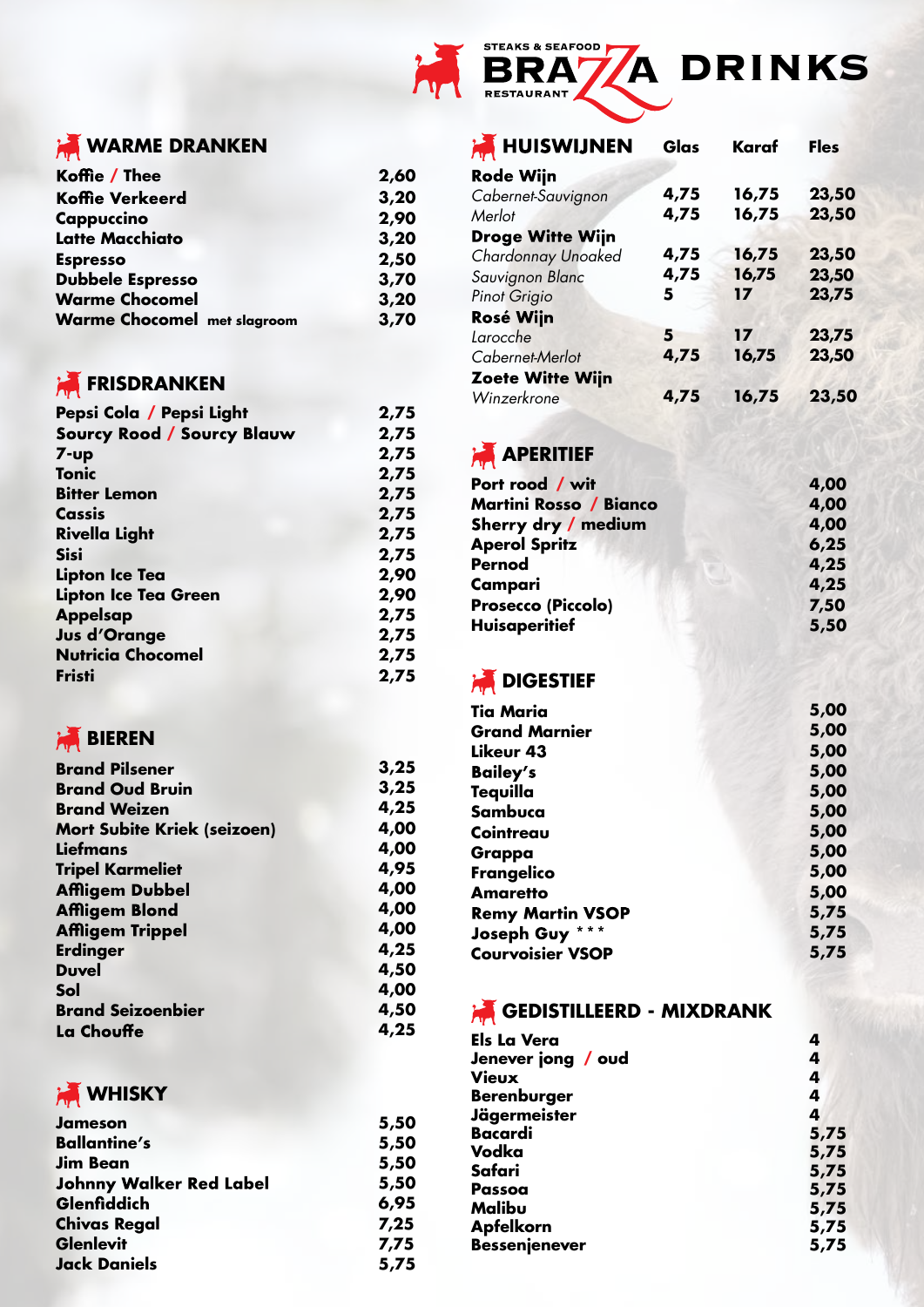

**WARME DRANKEN** 

| Koffie / Thee                      | 2,60 |
|------------------------------------|------|
| <b>Koffie Verkeerd</b>             | 3,20 |
| Cappuccino                         | 2,90 |
| <b>Latte Macchiato</b>             | 3,20 |
| <b>Espresso</b>                    | 2,50 |
| <b>Dubbele Espresso</b>            | 3,70 |
| <b>Warme Chocomel</b>              | 3,20 |
| <b>Warme Chocomel met slagroom</b> | 3,70 |

# **FRISDRANKEN**

| Pepsi Cola / Pepsi Light          | 2,75 |
|-----------------------------------|------|
| <b>Sourcy Rood / Sourcy Blauw</b> | 2,75 |
| $7 - up$                          | 2,75 |
| Tonic                             | 2,75 |
| <b>Bitter Lemon</b>               | 2,75 |
| Cassis                            | 2,75 |
| <b>Rivella Light</b>              | 2,75 |
| <b>Sisi</b>                       | 2,75 |
| <b>Lipton Ice Tea</b>             | 2,90 |
| Lipton Ice Tea Green              | 2,90 |
| <b>Appelsap</b>                   | 2,75 |
| <b>Jus d'Orange</b>               | 2,75 |
| <b>Nutricia Chocomel</b>          | 2,75 |
| <b>Fristi</b>                     | 2,75 |

# **BIEREN**

| <b>Brand Pilsener</b>              | 3,25 |
|------------------------------------|------|
| <b>Brand Oud Bruin</b>             | 3,25 |
| <b>Brand Weizen</b>                | 4,25 |
| <b>Mort Subite Kriek (seizoen)</b> | 4,00 |
| <b>Liefmans</b>                    | 4,00 |
| <b>Tripel Karmeliet</b>            | 4,95 |
| <b>Affligem Dubbel</b>             | 4,00 |
| <b>Affligem Blond</b>              | 4,00 |
| <b>Affligem Trippel</b>            | 4,00 |
| <b>Erdinger</b>                    | 4,25 |
| <b>Duvel</b>                       | 4,50 |
| Sol                                | 4,00 |
| <b>Brand Seizoenbier</b>           | 4,50 |
| La Chouffe                         | 4,25 |



#### **Jameson 5,50 Ballantine's 5,50 Jim Bean 5,50 5,50** Glenfiddich **6,95 Chivas Regal 7,25 Glenlevit 7,75 Jack Daniels 5,75**

| <b>A HUISWIJNEN</b>     | Glas | Karaf | <b>Fles</b> |
|-------------------------|------|-------|-------------|
| <b>Rode Wijn</b>        |      |       |             |
| Cabernet-Sauvignon      | 4,75 | 16,75 | 23,50       |
| Merlot                  | 4,75 | 16,75 | 23,50       |
| <b>Droge Witte Wijn</b> |      |       |             |
| Chardonnay Unoaked      | 4,75 | 16,75 | 23,50       |
| Sauvignon Blanc         | 4,75 | 16,75 | 23,50       |
| Pinot Grigio            | 5    | 17    | 23,75       |
| <b>Rosé Wijn</b>        |      |       |             |
| Larocche                | 5    | 17    | 23,75       |
| Cabernet-Merlot         | 4,75 | 16,75 | 23,50       |
| <b>Zoete Witte Wijn</b> |      |       |             |
| Winzerkrone             | 4,75 | 16,75 | 23,50       |

# **APERITIEF**

| Port rood / wit        | 4,00 |
|------------------------|------|
| Martini Rosso / Bianco | 4,00 |
| Sherry dry / medium    | 4,00 |
| <b>Aperol Spritz</b>   | 6,25 |
| <b>Pernod</b>          | 4,25 |
| Campari                | 4,25 |
| Prosecco (Piccolo)     | 7,50 |
| <b>Huisaperitief</b>   | 5,50 |
|                        |      |

# **AN** DIGESTIEF

| Tia Maria                                | 5,00 |
|------------------------------------------|------|
| <b>Grand Marnier</b>                     | 5,00 |
| Likeur 43                                | 5,00 |
| <b>Bailey's</b>                          | 5,00 |
| Tequilla                                 | 5,00 |
| Sambuca                                  | 5,00 |
| Cointreau                                | 5,00 |
| Grappa                                   | 5,00 |
| Frangelico                               | 5,00 |
| <b>Amaretto</b>                          | 5,00 |
| <b>Remy Martin VSOP</b>                  | 5,75 |
| $\star \star \star$<br><b>Joseph Guy</b> | 5,75 |
| <b>Courvoisier VSOP</b>                  | 5,75 |

# **GEDISTILLEERD - MIXDRANK**

| <b>Els La Vera</b>   | 4    |
|----------------------|------|
| Jenever jong / oud   | 4    |
| <b>Vieux</b>         | 4    |
| <b>Berenburger</b>   | 4    |
| <b>Jägermeister</b>  | 4    |
| <b>Bacardi</b>       | 5,75 |
| Vodka                | 5,75 |
| Safari               | 5,75 |
| Passoa               | 5,75 |
| Malibu               | 5,75 |
| <b>Apfelkorn</b>     | 5,75 |
| <b>Bessenjenever</b> | 5,75 |